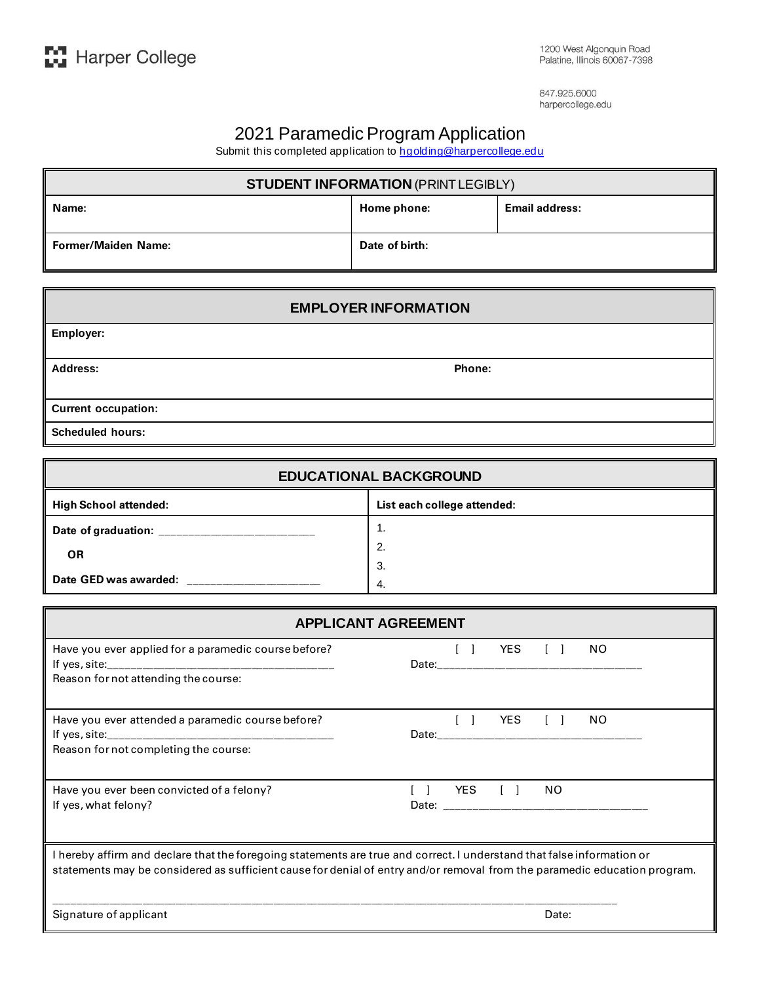847.925.6000 harpercollege.edu

## 2021 Paramedic Program Application

Submit this completed application t[o hgolding@harpercollege.edu](mailto:hgolding@harpercollege.edu)

| <b>STUDENT INFORMATION (PRINT LEGIBLY)</b> |                |                       |  |
|--------------------------------------------|----------------|-----------------------|--|
| Name:                                      | Home phone:    | <b>Email address:</b> |  |
| <b>Former/Maiden Name:</b>                 | Date of birth: |                       |  |

| <b>EMPLOYER INFORMATION</b> |        |  |  |
|-----------------------------|--------|--|--|
| Employer:                   |        |  |  |
| Address:                    | Phone: |  |  |
| <b>Current occupation:</b>  |        |  |  |
| <b>Scheduled hours:</b>     |        |  |  |

| <b>EDUCATIONAL BACKGROUND</b>      |                             |  |  |
|------------------------------------|-----------------------------|--|--|
| High School attended:              | List each college attended: |  |  |
| Date of graduation:                | . .                         |  |  |
| <b>OR</b><br>Date GED was awarded: | 2.                          |  |  |
|                                    | 3.                          |  |  |
|                                    | 4.                          |  |  |

| <b>APPLICANT AGREEMENT</b>                                                                                                                                                                                                                          |                           |  |  |  |
|-----------------------------------------------------------------------------------------------------------------------------------------------------------------------------------------------------------------------------------------------------|---------------------------|--|--|--|
| Have you ever applied for a paramedic course before?<br>Reason for not attending the course:                                                                                                                                                        | $[ ]$ YES $[ ]$<br>NO.    |  |  |  |
| Have you ever attended a paramedic course before?<br>Reason for not completing the course:                                                                                                                                                          | YES<br>NO.<br>Date: Date: |  |  |  |
| Have you ever been convicted of a felony?<br>If yes, what felony?                                                                                                                                                                                   | YES [ ]<br>NO.            |  |  |  |
| I hereby affirm and declare that the foregoing statements are true and correct. I understand that false information or<br>statements may be considered as sufficient cause for denial of entry and/or removal from the paramedic education program. |                           |  |  |  |
| Signature of applicant                                                                                                                                                                                                                              | Date:                     |  |  |  |